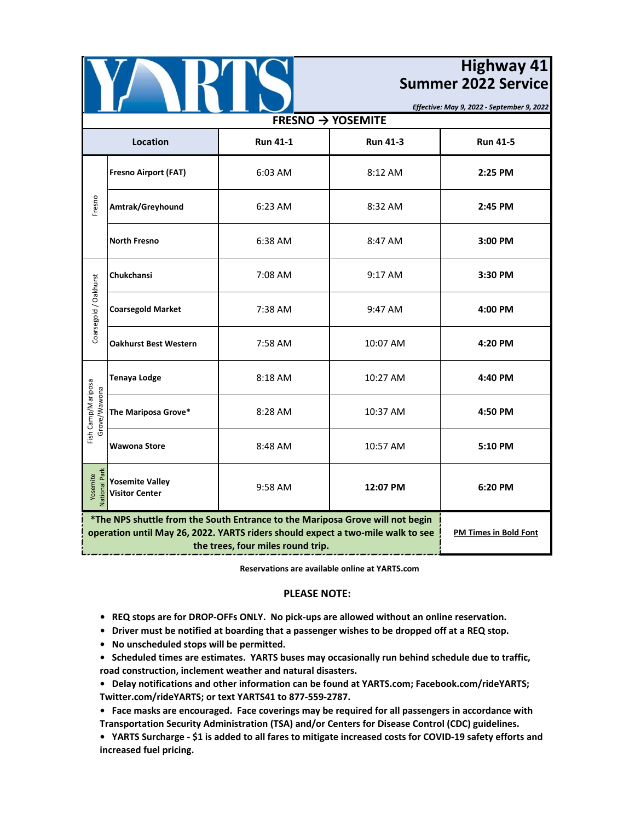

## **Highway 41 Summer 2022 Service**

*Effective: May 9, 2022 - September 9, 2022*

| $FRESNO \rightarrow YOSEMITE$      |                                                                                                                                                                                                       |                              |                 |                 |  |  |
|------------------------------------|-------------------------------------------------------------------------------------------------------------------------------------------------------------------------------------------------------|------------------------------|-----------------|-----------------|--|--|
| Location                           |                                                                                                                                                                                                       | <b>Run 41-1</b>              | <b>Run 41-3</b> | <b>Run 41-5</b> |  |  |
| Fresno<br>Coarsegold / Oakhurst    | <b>Fresno Airport (FAT)</b>                                                                                                                                                                           | 6:03 AM                      | 8:12 AM         | 2:25 PM         |  |  |
|                                    | Amtrak/Greyhound                                                                                                                                                                                      | 6:23 AM                      | 8:32 AM         | 2:45 PM         |  |  |
|                                    | <b>North Fresno</b>                                                                                                                                                                                   | 6:38 AM                      | 8:47 AM         | 3:00 PM         |  |  |
|                                    | Chukchansi                                                                                                                                                                                            | 7:08 AM                      | 9:17 AM         | 3:30 PM         |  |  |
|                                    | <b>Coarsegold Market</b>                                                                                                                                                                              | 7:38 AM                      | 9:47 AM         | 4:00 PM         |  |  |
|                                    | <b>Oakhurst Best Western</b>                                                                                                                                                                          | 7:58 AM                      | 10:07 AM        | 4:20 PM         |  |  |
| Fish Camp/Mariposa<br>Grove/Wawona | <b>Tenaya Lodge</b>                                                                                                                                                                                   | 8:18 AM                      | 10:27 AM        | 4:40 PM         |  |  |
|                                    | The Mariposa Grove*                                                                                                                                                                                   | 8:28 AM                      | 10:37 AM        | 4:50 PM         |  |  |
|                                    | <b>Wawona Store</b>                                                                                                                                                                                   | 8:48 AM                      | 10:57 AM        | 5:10 PM         |  |  |
| <b>National Park</b><br>Yosemite   | <b>Yosemite Valley</b><br><b>Visitor Center</b>                                                                                                                                                       | 9:58 AM                      | 12:07 PM        | 6:20 PM         |  |  |
|                                    | *The NPS shuttle from the South Entrance to the Mariposa Grove will not begin<br>operation until May 26, 2022. YARTS riders should expect a two-mile walk to see<br>the trees, four miles round trip. | <b>PM Times in Bold Font</b> |                 |                 |  |  |

**Reservations are available online at YARTS.com**

## **PLEASE NOTE:**

- **REQ stops are for DROP-OFFs ONLY. No pick-ups are allowed without an online reservation.**
- **Driver must be notified at boarding that a passenger wishes to be dropped off at a REQ stop.**
- **No unscheduled stops will be permitted.**
- **Scheduled times are estimates. YARTS buses may occasionally run behind schedule due to traffic, road construction, inclement weather and natural disasters.**

**• Delay notifications and other information can be found at YARTS.com; Facebook.com/rideYARTS; Twitter.com/rideYARTS; or text YARTS41 to 877-559-2787.**

**• Face masks are encouraged. Face coverings may be required for all passengers in accordance with Transportation Security Administration (TSA) and/or Centers for Disease Control (CDC) guidelines.**

**• YARTS Surcharge - \$1 is added to all fares to mitigate increased costs for COVID-19 safety efforts and increased fuel pricing.**